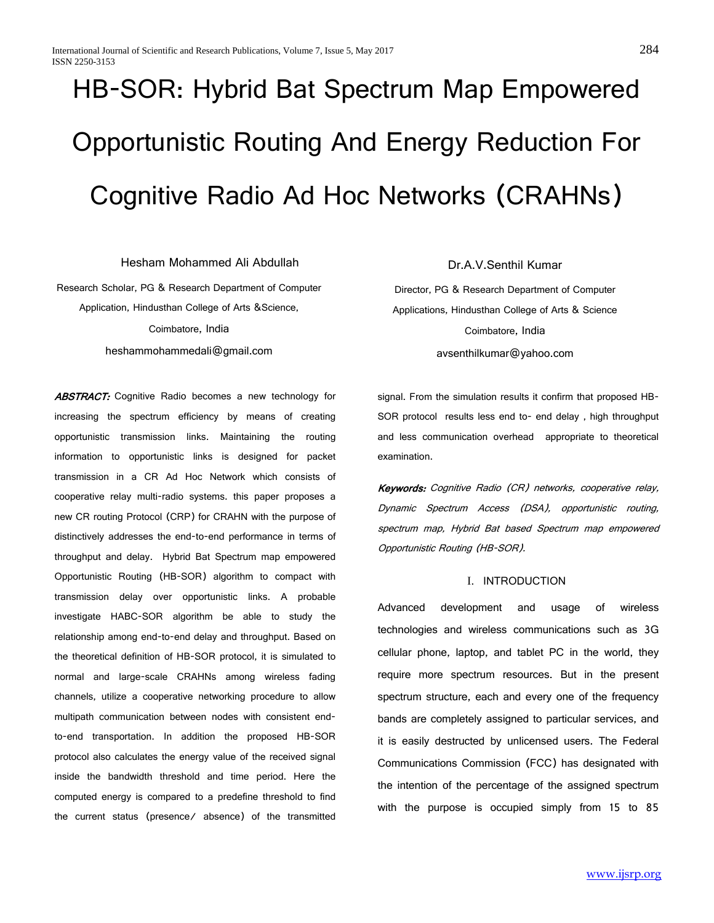# HB-SOR: Hybrid Bat Spectrum Map Empowered Opportunistic Routing And Energy Reduction For Cognitive Radio Ad Hoc Networks (CRAHNs)

Hesham Mohammed Ali Abdullah

Research Scholar, PG & Research Department of Computer Application, Hindusthan College of Arts &Science, Coimbatore, India heshammohammedali@gmail.com

ABSTRACT: Cognitive Radio becomes a new technology for increasing the spectrum efficiency by means of creating opportunistic transmission links. Maintaining the routing information to opportunistic links is designed for packet transmission in a CR Ad Hoc Network which consists of cooperative relay multi-radio systems. this paper proposes a new CR routing Protocol (CRP) for CRAHN with the purpose of distinctively addresses the end-to-end performance in terms of throughput and delay. Hybrid Bat Spectrum map empowered Opportunistic Routing (HB-SOR) algorithm to compact with transmission delay over opportunistic links. A probable investigate HABC-SOR algorithm be able to study the relationship among end-to-end delay and throughput. Based on the theoretical definition of HB-SOR protocol, it is simulated to normal and large-scale CRAHNs among wireless fading channels, utilize a cooperative networking procedure to allow multipath communication between nodes with consistent endto-end transportation. In addition the proposed HB-SOR protocol also calculates the energy value of the received signal inside the bandwidth threshold and time period. Here the computed energy is compared to a predefine threshold to find the current status (presence/ absence) of the transmitted Dr.A.V.Senthil Kumar

Director, PG & Research Department of Computer Applications, Hindusthan College of Arts & Science Coimbatore, India avsenthilkumar@yahoo.com

signal. From the simulation results it confirm that proposed HB-SOR protocol results less end to- end delay , high throughput and less communication overhead appropriate to theoretical examination.

Keywords: Cognitive Radio (CR) networks, cooperative relay, Dynamic Spectrum Access (DSA), opportunistic routing, spectrum map, Hybrid Bat based Spectrum map empowered Opportunistic Routing (HB-SOR).

# I. INTRODUCTION

Advanced development and usage of wireless technologies and wireless communications such as 3G cellular phone, laptop, and tablet PC in the world, they require more spectrum resources. But in the present spectrum structure, each and every one of the frequency bands are completely assigned to particular services, and it is easily destructed by unlicensed users. The Federal Communications Commission (FCC) has designated with the intention of the percentage of the assigned spectrum with the purpose is occupied simply from 15 to 85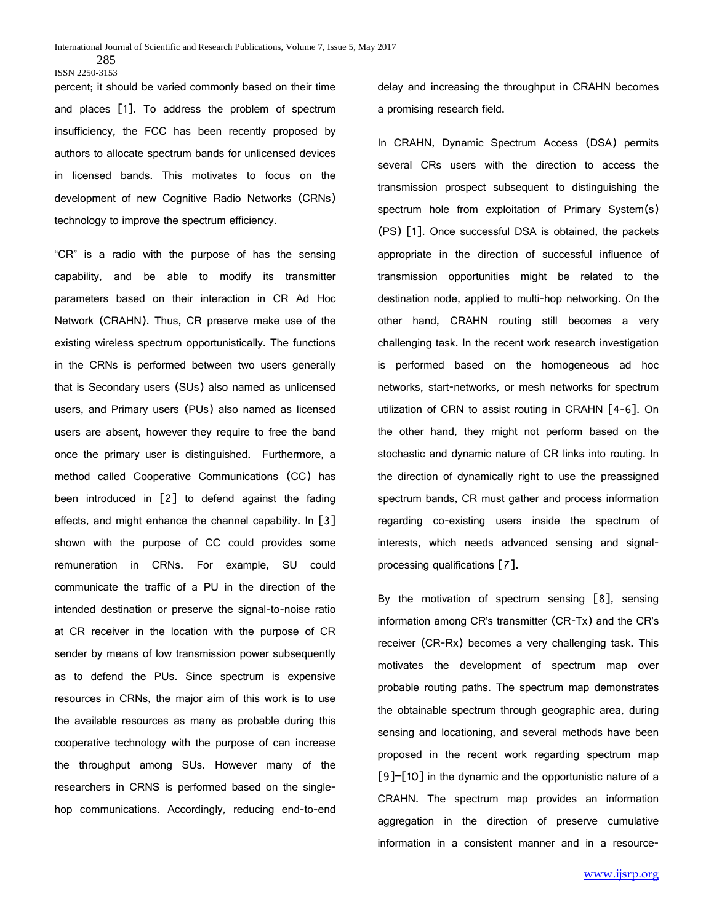percent; it should be varied commonly based on their time and places [1]. To address the problem of spectrum insufficiency, the FCC has been recently proposed by authors to allocate spectrum bands for unlicensed devices in licensed bands. This motivates to focus on the development of new Cognitive Radio Networks (CRNs) technology to improve the spectrum efficiency.

"CR" is a radio with the purpose of has the sensing capability, and be able to modify its transmitter parameters based on their interaction in CR Ad Hoc Network (CRAHN). Thus, CR preserve make use of the existing wireless spectrum opportunistically. The functions in the CRNs is performed between two users generally that is Secondary users (SUs) also named as unlicensed users, and Primary users (PUs) also named as licensed users are absent, however they require to free the band once the primary user is distinguished. Furthermore, a method called Cooperative Communications (CC) has been introduced in [2] to defend against the fading effects, and might enhance the channel capability. In [3] shown with the purpose of CC could provides some remuneration in CRNs. For example, SU could communicate the traffic of a PU in the direction of the intended destination or preserve the signal-to-noise ratio at CR receiver in the location with the purpose of CR sender by means of low transmission power subsequently as to defend the PUs. Since spectrum is expensive resources in CRNs, the major aim of this work is to use the available resources as many as probable during this cooperative technology with the purpose of can increase the throughput among SUs. However many of the researchers in CRNS is performed based on the singlehop communications. Accordingly, reducing end-to-end

delay and increasing the throughput in CRAHN becomes a promising research field.

In CRAHN, Dynamic Spectrum Access (DSA) permits several CRs users with the direction to access the transmission prospect subsequent to distinguishing the spectrum hole from exploitation of Primary System(s) (PS) [1]. Once successful DSA is obtained, the packets appropriate in the direction of successful influence of transmission opportunities might be related to the destination node, applied to multi-hop networking. On the other hand, CRAHN routing still becomes a very challenging task. In the recent work research investigation is performed based on the homogeneous ad hoc networks, start-networks, or mesh networks for spectrum utilization of CRN to assist routing in CRAHN [4-6]. On the other hand, they might not perform based on the stochastic and dynamic nature of CR links into routing. In the direction of dynamically right to use the preassigned spectrum bands, CR must gather and process information regarding co-existing users inside the spectrum of interests, which needs advanced sensing and signalprocessing qualifications [7].

By the motivation of spectrum sensing [8], sensing information among CR's transmitter (CR-Tx) and the CR's receiver (CR-Rx) becomes a very challenging task. This motivates the development of spectrum map over probable routing paths. The spectrum map demonstrates the obtainable spectrum through geographic area, during sensing and locationing, and several methods have been proposed in the recent work regarding spectrum map [9]–[10] in the dynamic and the opportunistic nature of a CRAHN. The spectrum map provides an information aggregation in the direction of preserve cumulative information in a consistent manner and in a resource-

<sup>285</sup> ISSN 2250-3153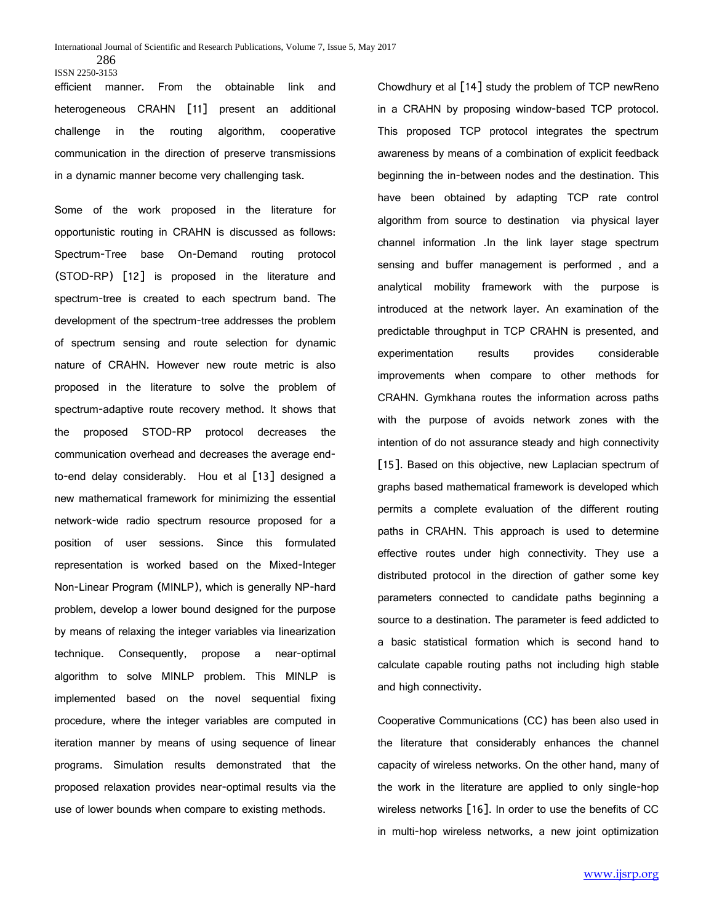efficient manner. From the obtainable link and heterogeneous CRAHN [11] present an additional challenge in the routing algorithm, cooperative communication in the direction of preserve transmissions in a dynamic manner become very challenging task.

Some of the work proposed in the literature for opportunistic routing in CRAHN is discussed as follows: Spectrum-Tree base On-Demand routing protocol (STOD-RP) [12] is proposed in the literature and spectrum-tree is created to each spectrum band. The development of the spectrum-tree addresses the problem of spectrum sensing and route selection for dynamic nature of CRAHN. However new route metric is also proposed in the literature to solve the problem of spectrum-adaptive route recovery method. It shows that the proposed STOD-RP protocol decreases the communication overhead and decreases the average endto-end delay considerably. Hou et al [13] designed a new mathematical framework for minimizing the essential network-wide radio spectrum resource proposed for a position of user sessions. Since this formulated representation is worked based on the Mixed-Integer Non-Linear Program (MINLP), which is generally NP-hard problem, develop a lower bound designed for the purpose by means of relaxing the integer variables via linearization technique. Consequently, propose a near-optimal algorithm to solve MINLP problem. This MINLP is implemented based on the novel sequential fixing procedure, where the integer variables are computed in iteration manner by means of using sequence of linear programs. Simulation results demonstrated that the proposed relaxation provides near-optimal results via the use of lower bounds when compare to existing methods.

Chowdhury et al [14] study the problem of TCP newReno in a CRAHN by proposing window-based TCP protocol. This proposed TCP protocol integrates the spectrum awareness by means of a combination of explicit feedback beginning the in-between nodes and the destination. This have been obtained by adapting TCP rate control algorithm from source to destination via physical layer channel information .In the link layer stage spectrum sensing and buffer management is performed , and a analytical mobility framework with the purpose is introduced at the network layer. An examination of the predictable throughput in TCP CRAHN is presented, and experimentation results provides considerable improvements when compare to other methods for CRAHN. Gymkhana routes the information across paths with the purpose of avoids network zones with the intention of do not assurance steady and high connectivity [15]. Based on this objective, new Laplacian spectrum of graphs based mathematical framework is developed which permits a complete evaluation of the different routing paths in CRAHN. This approach is used to determine effective routes under high connectivity. They use a distributed protocol in the direction of gather some key parameters connected to candidate paths beginning a source to a destination. The parameter is feed addicted to a basic statistical formation which is second hand to calculate capable routing paths not including high stable and high connectivity.

Cooperative Communications (CC) has been also used in the literature that considerably enhances the channel capacity of wireless networks. On the other hand, many of the work in the literature are applied to only single-hop wireless networks [16]. In order to use the benefits of CC in multi-hop wireless networks, a new joint optimization

<sup>286</sup> ISSN 2250-3153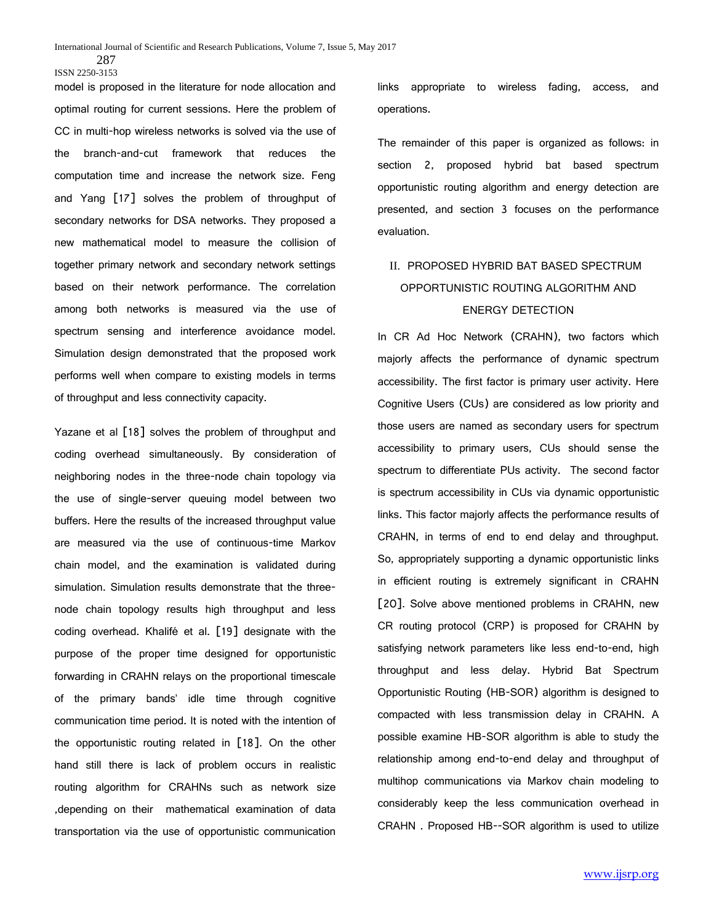model is proposed in the literature for node allocation and optimal routing for current sessions. Here the problem of CC in multi-hop wireless networks is solved via the use of the branch-and-cut framework that reduces the computation time and increase the network size. Feng and Yang [17] solves the problem of throughput of secondary networks for DSA networks. They proposed a new mathematical model to measure the collision of together primary network and secondary network settings based on their network performance. The correlation among both networks is measured via the use of spectrum sensing and interference avoidance model. Simulation design demonstrated that the proposed work performs well when compare to existing models in terms of throughput and less connectivity capacity.

Yazane et al [18] solves the problem of throughput and coding overhead simultaneously. By consideration of neighboring nodes in the three-node chain topology via the use of single-server queuing model between two buffers. Here the results of the increased throughput value are measured via the use of continuous-time Markov chain model, and the examination is validated during simulation. Simulation results demonstrate that the threenode chain topology results high throughput and less coding overhead. Khalifé et al. [19] designate with the purpose of the proper time designed for opportunistic forwarding in CRAHN relays on the proportional timescale of the primary bands' idle time through cognitive communication time period. It is noted with the intention of the opportunistic routing related in [18]. On the other hand still there is lack of problem occurs in realistic routing algorithm for CRAHNs such as network size ,depending on their mathematical examination of data transportation via the use of opportunistic communication

links appropriate to wireless fading, access, and operations.

The remainder of this paper is organized as follows: in section 2, proposed hybrid bat based spectrum opportunistic routing algorithm and energy detection are presented, and section 3 focuses on the performance evaluation.

# II. PROPOSED HYBRID BAT BASED SPECTRUM OPPORTUNISTIC ROUTING ALGORITHM AND ENERGY DETECTION

In CR Ad Hoc Network (CRAHN), two factors which majorly affects the performance of dynamic spectrum accessibility. The first factor is primary user activity. Here Cognitive Users (CUs) are considered as low priority and those users are named as secondary users for spectrum accessibility to primary users, CUs should sense the spectrum to differentiate PUs activity. The second factor is spectrum accessibility in CUs via dynamic opportunistic links. This factor majorly affects the performance results of CRAHN, in terms of end to end delay and throughput. So, appropriately supporting a dynamic opportunistic links in efficient routing is extremely significant in CRAHN [20]. Solve above mentioned problems in CRAHN, new CR routing protocol (CRP) is proposed for CRAHN by satisfying network parameters like less end-to-end, high throughput and less delay. Hybrid Bat Spectrum Opportunistic Routing (HB-SOR) algorithm is designed to compacted with less transmission delay in CRAHN. A possible examine HB-SOR algorithm is able to study the relationship among end-to-end delay and throughput of multihop communications via Markov chain modeling to considerably keep the less communication overhead in CRAHN . Proposed HB--SOR algorithm is used to utilize

<sup>287</sup> ISSN 2250-3153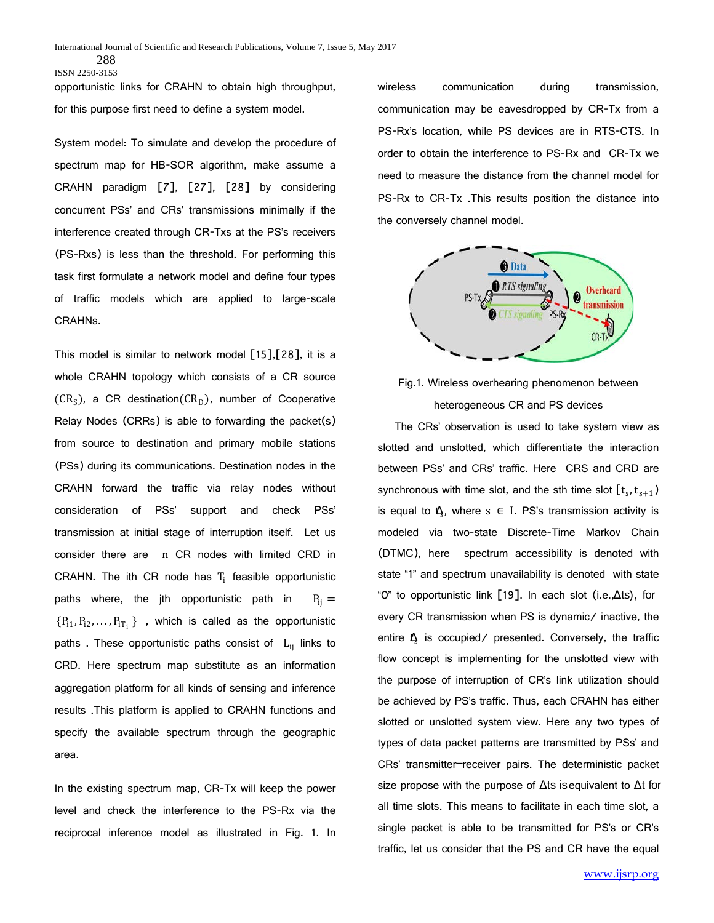288 ISSN 2250-3153

opportunistic links for CRAHN to obtain high throughput, for this purpose first need to define a system model.

System model: To simulate and develop the procedure of spectrum map for HB-SOR algorithm, make assume a CRAHN paradigm [7], [27], [28] by considering concurrent PSs' and CRs' transmissions minimally if the interference created through CR-Txs at the PS's receivers (PS-Rxs) is less than the threshold. For performing this task first formulate a network model and define four types of traffic models which are applied to large-scale CRAHNs.

This model is similar to network model [15],[28], it is a whole CRAHN topology which consists of a CR source  $(CR<sub>S</sub>)$ , a CR destination $(CR<sub>D</sub>)$ , number of Cooperative Relay Nodes (CRRs) is able to forwarding the packet(s) from source to destination and primary mobile stations (PSs) during its communications. Destination nodes in the CRAHN forward the traffic via relay nodes without consideration of PSs' support and check PSs' transmission at initial stage of interruption itself. Let us consider there are n CR nodes with limited CRD in CRAHN. The ith CR node has  $T_i$  feasible opportunistic paths where, the jth opportunistic path in  $P_{ii} =$  ${P_{11}, P_{12}, \ldots, P_{1T_i}}$ , which is called as the opportunistic paths . These opportunistic paths consist of  $L_{ii}$  links to CRD. Here spectrum map substitute as an information aggregation platform for all kinds of sensing and inference results .This platform is applied to CRAHN functions and specify the available spectrum through the geographic area.

In the existing spectrum map, CR-Tx will keep the power level and check the interference to the PS-Rx via the reciprocal inference model as illustrated in Fig. 1. In

wireless communication during transmission, communication may be eavesdropped by CR-Tx from a PS-Rx's location, while PS devices are in RTS-CTS. In order to obtain the interference to PS-Rx and CR-Tx we need to measure the distance from the channel model for PS-Rx to CR-Tx .This results position the distance into the conversely channel model.



Fig.1. Wireless overhearing phenomenon between heterogeneous CR and PS devices

The CRs' observation is used to take system view as slotted and unslotted, which differentiate the interaction between PSs' and CRs' traffic. Here CRS and CRD are synchronous with time slot, and the sth time slot  $[t_s, t_{s+1})$ is equal to  $\mathbf{A}$ , where  $s \in I$ . PS's transmission activity is modeled via two-state Discrete-Time Markov Chain (DTMC), here spectrum accessibility is denoted with state "1" and spectrum unavailability is denoted with state "0" to opportunistic link [19]. In each slot (i.e., Δts), for every CR transmission when PS is dynamic/ inactive, the entire  $\hat{\mathbf{L}}$  is occupied/ presented. Conversely, the traffic flow concept is implementing for the unslotted view with the purpose of interruption of CR's link utilization should be achieved by PS's traffic. Thus, each CRAHN has either slotted or unslotted system view. Here any two types of types of data packet patterns are transmitted by PSs' and CRs' transmitter–receiver pairs. The deterministic packet size propose with the purpose of  $\Delta$ ts is equivalent to  $\Delta$ t for all time slots. This means to facilitate in each time slot, a single packet is able to be transmitted for PS's or CR's traffic, let us consider that the PS and CR have the equal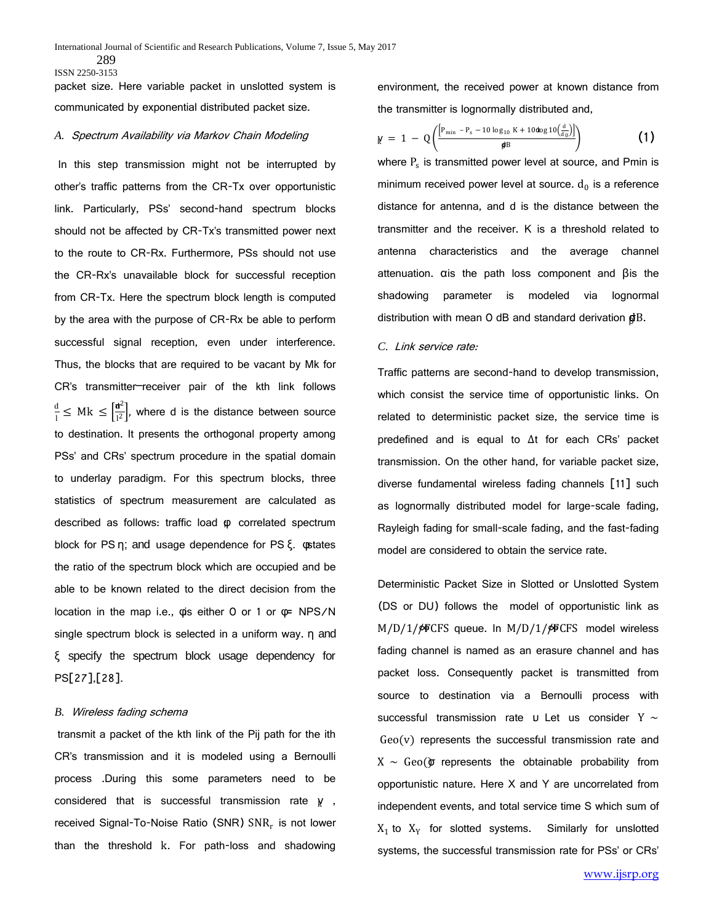packet size. Here variable packet in unslotted system is communicated by exponential distributed packet size.

### *A.* Spectrum Availability via Markov Chain Modeling

In this step transmission might not be interrupted by other's traffic patterns from the CR-Tx over opportunistic link. Particularly, PSs' second-hand spectrum blocks should not be affected by CR-Tx's transmitted power next to the route to CR-Rx. Furthermore, PSs should not use the CR-Rx's unavailable block for successful reception from CR-Tx. Here the spectrum block length is computed by the area with the purpose of CR-Rx be able to perform successful signal reception, even under interference. Thus, the blocks that are required to be vacant by Mk for CR's transmitter–receiver pair of the kth link follows  $\frac{d}{dt} \leq Mk \leq \left[\frac{\mathbf{d}^2}{l^2}\right]$ , where d is the distance between source to destination. It presents the orthogonal property among PSs' and CRs' spectrum procedure in the spatial domain to underlay paradigm. For this spectrum blocks, three statistics of spectrum measurement are calculated as described as follows: traffic load Φ correlated spectrum block for PS η; and usage dependence for PS ξ. φstates the ratio of the spectrum block which are occupied and be able to be known related to the direct decision from the location in the map i.e., φis either 0 or 1 or φ= NPS/N single spectrum block is selected in a uniform way. η and ξ specify the spectrum block usage dependency for PS[27],[28].

#### *B.* Wireless fading schema

transmit a packet of the kth link of the Pij path for the ith CR's transmission and it is modeled using a Bernoulli process .During this some parameters need to be considered that is successful transmission rate γ, received Signal-To-Noise Ratio (SNR) SNR<sub>r</sub> is not lower than the threshold k. For path-loss and shadowing

environment, the received power at known distance from the transmitter is lognormally distributed and,

$$
\gamma = 1 - Q\left(\frac{\left[P_{\min} - P_s - 10 \log_{10} K + 10 \log 10 \left(\frac{d}{d_0}\right)\right]}{\beta^B}\right)
$$
 (1)

where  $P_s$  is transmitted power level at source, and Pmin is minimum received power level at source.  $d_0$  is a reference distance for antenna, and d is the distance between the transmitter and the receiver. K is a threshold related to antenna characteristics and the average channel attenuation. αis the path loss component and βis the shadowing parameter is modeled via lognormal distribution with mean O dB and standard derivation  $\boldsymbol{\mathsf{g}}$ B.

# *C.* Link service rate:

Traffic patterns are second-hand to develop transmission, which consist the service time of opportunistic links. On related to deterministic packet size, the service time is predefined and is equal to ∆t for each CRs' packet transmission. On the other hand, for variable packet size, diverse fundamental wireless fading channels [11] such as lognormally distributed model for large-scale fading, Rayleigh fading for small-scale fading, and the fast-fading model are considered to obtain the service rate.

Deterministic Packet Size in Slotted or Unslotted System (DS or DU) follows the model of opportunistic link as M/D/1/∲FCFS queue. In M/D/1/∲FCFS model wireless fading channel is named as an erasure channel and has packet loss. Consequently packet is transmitted from source to destination via a Bernoulli process with successful transmission rate u. Let us consider Y  $\sim$  $Geo(V)$  represents the successful transmission rate and  $X ~ ~ ~ Geo$  represents the obtainable probability from opportunistic nature. Here X and Y are uncorrelated from independent events, and total service time S which sum of  $X_1$  to  $X_Y$  for slotted systems. Similarly for unslotted systems, the successful transmission rate for PSs' or CRs'

<sup>289</sup> ISSN 2250-3153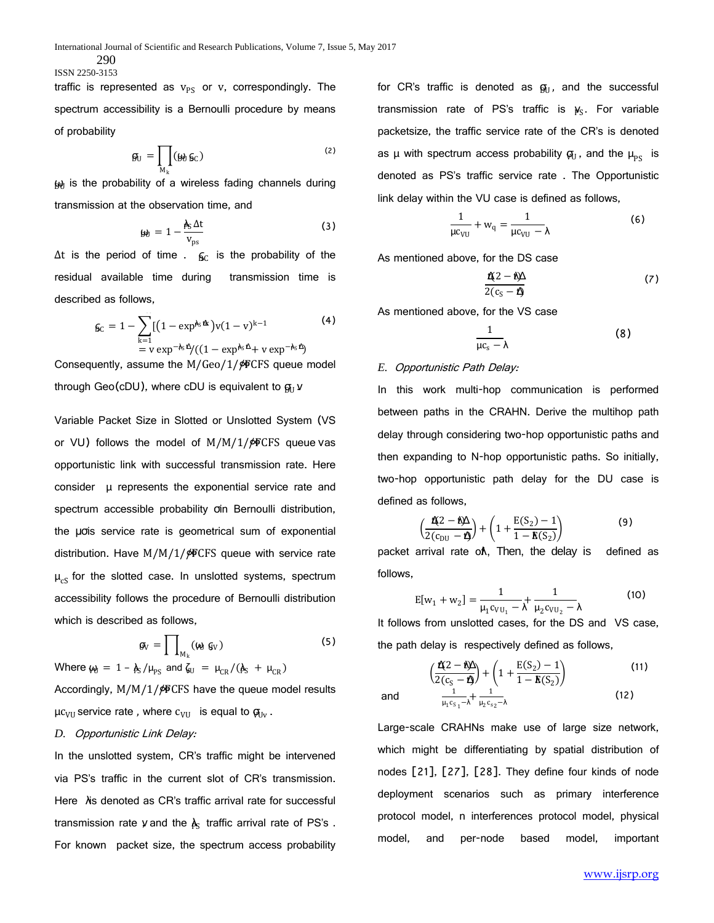290 ISSN 2250-3153

traffic is represented as  $v_{PS}$  or v, correspondingly. The spectrum accessibility is a Bernoulli procedure by means of probability

$$
\mathfrak{g}_U = \prod_{M_k} (\mathfrak{g}_0 \mathfrak{g}_C) \tag{2}
$$

 $\omega$  is the probability of a wireless fading channels during transmission at the observation time, and

$$
\mathbf{y}_0 = 1 - \frac{\mathbf{\hat{A}}_S \Delta t}{\mathbf{v}_{\text{ps}}} \tag{3}
$$

 $\Delta t$  is the period of time .  $\int_{\mathsf{S} \mathsf{C}}$  is the probability of the residual available time during transmission time is described as follows,

$$
6c = 1 - \sum_{k=1}^{N} [(1 - \exp^{k_5 \Delta k})v(1 - v)^{k-1} = v \exp^{-k_5 \Delta} / ((1 - \exp^{k_5 \Delta} + v \exp^{-k_5 \Delta})
$$
(4)

Consequently, assume the  $M/Geo/1/\gamma$ FCFS queue model through Geo(cDU), where cDU is equivalent to  $\mathfrak{g}_{\mathfrak{g}}$   $\mathfrak{v}$ 

Variable Packet Size in Slotted or Unslotted System (VS or VU) follows the model of  $M/M/1/\cancel{\phi}$ FCFS queue vas opportunistic link with successful transmission rate. Here consider μ represents the exponential service rate and spectrum accessible probability σin Bernoulli distribution, the μσis service rate is geometrical sum of exponential distribution. Have  $M/M/1/\gamma$ ®CFS queue with service rate  $\mu_{cS}$  for the slotted case. In unslotted systems, spectrum accessibility follows the procedure of Bernoulli distribution which is described as follows,

$$
\mathfrak{g}_V = \prod_{M_k} (\mathfrak{g}_V) \tag{5}
$$

Where  $\omega_{\text{U}} = 1 - \lambda_{\text{S}} / \mu_{\text{PS}}$  and  $\zeta_{\text{U}} = \mu_{\text{CR}} / (\lambda_{\text{S}} + \mu_{\text{CR}})$ 

Accordingly,  $M/M/1/\cancel{\phi}$  CFS have the queue model results  $\mu c_{\text{VU}}$  service rate, where  $c_{\text{VU}}$  is equal to  $\mathfrak{g}_{\text{UV}}$ .

#### *D.* Opportunistic Link Delay:

In the unslotted system, CR's traffic might be intervened via PS's traffic in the current slot of CR's transmission. Here λis denoted as CR's traffic arrival rate for successful transmission rate y and the  $\lambda_{\mathbb{S}}$  traffic arrival rate of PS's . For known packet size, the spectrum access probability for CR's traffic is denoted as  $\mathfrak{g}_\mathrm{U}$ , and the successful transmission rate of PS's traffic is  $\psi_S$ . For variable packetsize, the traffic service rate of the CR's is denoted as  $\mu$  with spectrum access probability  $\boldsymbol{\varphi}_{U}$ , and the  $\mu_{PS}$  is denoted as PS's traffic service rate . The Opportunistic link delay within the VU case is defined as follows,

$$
\frac{1}{\mu c_{\text{VU}}} + w_{\text{q}} = \frac{1}{\mu c_{\text{VU}} - \lambda} \tag{6}
$$

As mentioned above, for the DS case

$$
\frac{\mathbf{r}(2-\mathbf{r})}{2(c_{\rm S}-\mathbf{r})}
$$
 (7)

As mentioned above, for the VS case

$$
\frac{1}{\mu c_s - \lambda} \tag{8}
$$

#### *E.* Opportunistic Path Delay:

and <sup>1</sup>

In this work multi-hop communication is performed between paths in the CRAHN. Derive the multihop path delay through considering two-hop opportunistic paths and then expanding to N-hop opportunistic paths. So initially, two-hop opportunistic path delay for the DU case is defined as follows,

$$
\left(\frac{\mathbf{r}(2-\mathbf{r})}{2(c_{\text{DU}}-\mathbf{r})}\right) + \left(1 + \frac{E(S_2) - 1}{1 - E(S_2)}\right) \tag{9}
$$

packet arrival rate oλ, Then, the delay is defined as follows,

$$
E[w_1 + w_2] = \frac{1}{\mu_1 c_{VU_1} - \lambda} + \frac{1}{\mu_2 c_{VU_2} - \lambda}
$$
 (10)

It follows from unslotted cases, for the DS and VS case, the path delay is respectively defined as follows,

$$
\left(\frac{\mathbf{f}(2-\mathbf{h})}{2(c_{S}-\mathbf{f})} + \left(1 + \frac{E(S_{2}) - 1}{1 - E(S_{2})}\right)\right)
$$
\n
$$
\frac{1}{\mu_{1}c_{S_{1}} - \lambda} + \frac{1}{\mu_{2}c_{S_{2}} - \lambda}
$$
\n(12)

Large-scale CRAHNs make use of large size network, which might be differentiating by spatial distribution of nodes [21], [27], [28]. They define four kinds of node deployment scenarios such as primary interference protocol model, n interferences protocol model, physical model, and per-node based model, important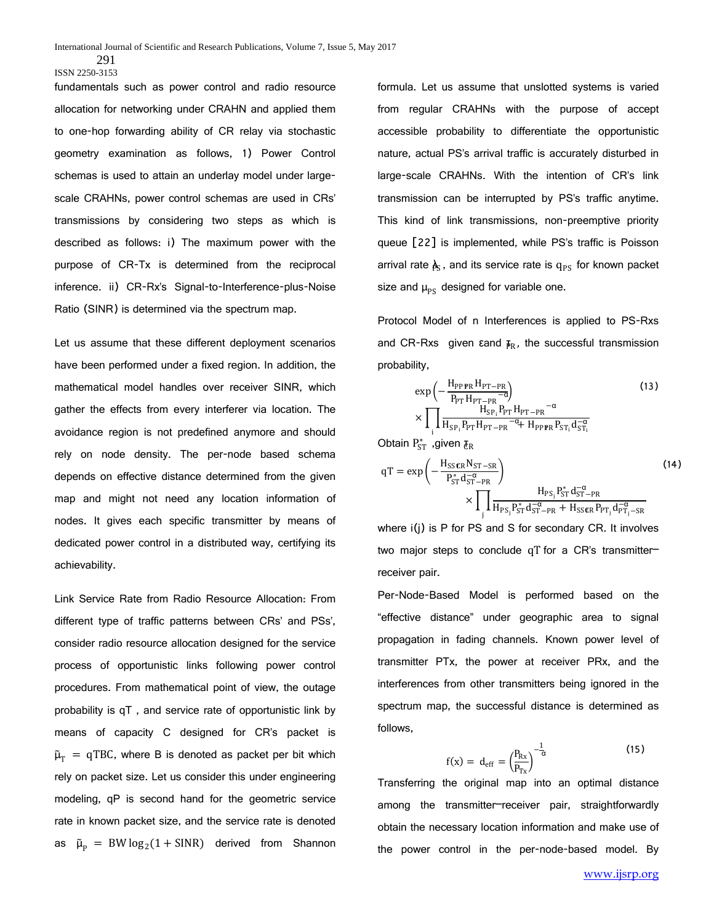fundamentals such as power control and radio resource allocation for networking under CRAHN and applied them to one-hop forwarding ability of CR relay via stochastic geometry examination as follows, 1) Power Control schemas is used to attain an underlay model under largescale CRAHNs, power control schemas are used in CRs' transmissions by considering two steps as which is described as follows: i) The maximum power with the purpose of CR-Tx is determined from the reciprocal inference. ii) CR-Rx's Signal-to-Interference-plus-Noise Ratio (SINR) is determined via the spectrum map.

Let us assume that these different deployment scenarios have been performed under a fixed region. In addition, the mathematical model handles over receiver SINR, which gather the effects from every interferer via location. The avoidance region is not predefined anymore and should rely on node density. The per-node based schema depends on effective distance determined from the given map and might not need any location information of nodes. It gives each specific transmitter by means of dedicated power control in a distributed way, certifying its achievability.

Link Service Rate from Radio Resource Allocation: From different type of traffic patterns between CRs' and PSs', consider radio resource allocation designed for the service process of opportunistic links following power control procedures. From mathematical point of view, the outage probability is qT , and service rate of opportunistic link by means of capacity C designed for CR's packet is  $\tilde{\mu}_T = qTBC$ , where B is denoted as packet per bit which rely on packet size. Let us consider this under engineering modeling, qP is second hand for the geometric service rate in known packet size, and the service rate is denoted as  $\tilde{\mu}_p = BW \log_2(1 + SINR)$  derived from Shannon

formula. Let us assume that unslotted systems is varied from regular CRAHNs with the purpose of accept accessible probability to differentiate the opportunistic nature, actual PS's arrival traffic is accurately disturbed in large-scale CRAHNs. With the intention of CR's link transmission can be interrupted by PS's traffic anytime. This kind of link transmissions, non-preemptive priority queue [22] is implemented, while PS's traffic is Poisson arrival rate  $\pmb{\mathrm{\lambda}}_\mathrm{S}$ , and its service rate is  $\text{q}_\mathrm{PS}$  for known packet size and  $\mu_{PS}$  designed for variable one.

Protocol Model of n Interferences is applied to PS-Rxs and CR-Rxs given  $\epsilon$  and  $\bar{P}_R$ , the successful transmission probability,

$$
\exp\left(-\frac{H_{\rm PPP\,R\,H_{\rm PT-PR}}}{P_{\rm PT\,H_{\rm PT-PR}}-6}\right) \tag{13}
$$
\n
$$
\times \prod_{i} \frac{H_{\rm SP_{i}} P_{\rm PT\,H_{\rm PT-PR}}}{H_{\rm SP_{i}} P_{\rm PT\,H_{\rm PT-PR}}-6} \tag{13}
$$

Obtain  $\mathrm{P_{ST}^*}$  ,given  $\bm{\bar{\epsilon}_{\mathrm{R}}}$ 

$$
qT = exp\left(-\frac{H_{S\mathcal{S}\mathcal{R}R}N_{ST-SR}}{P_{ST}^{*}d_{ST-PR}^{-\alpha}}\right)
$$
(14)  

$$
\times \prod_{j} \frac{H_{PS_{j}}P_{ST}^{*}d_{ST-PR}^{-\alpha}}{H_{PS_{j}}P_{ST}^{*}d_{ST-PR}^{-\alpha} + H_{S\mathcal{S}\mathcal{R}R}P_{PT_{j}}d_{PT_{j}-SR}^{-\alpha}}
$$

where i(j) is P for PS and S for secondary CR. It involves two major steps to conclude qT for a CR's transmitter– receiver pair.

Per-Node-Based Model is performed based on the "effective distance" under geographic area to signal propagation in fading channels. Known power level of transmitter PTx, the power at receiver PRx, and the interferences from other transmitters being ignored in the spectrum map, the successful distance is determined as follows,

$$
f(x) = d_{\text{eff}} = \left(\frac{P_{\text{Rx}}}{P_{\text{Tx}}}\right)^{-\frac{1}{\alpha}}
$$
\n(15)

Transferring the original map into an optimal distance among the transmitter–receiver pair, straightforwardly obtain the necessary location information and make use of the power control in the per-node-based model. By

<sup>291</sup> ISSN 2250-3153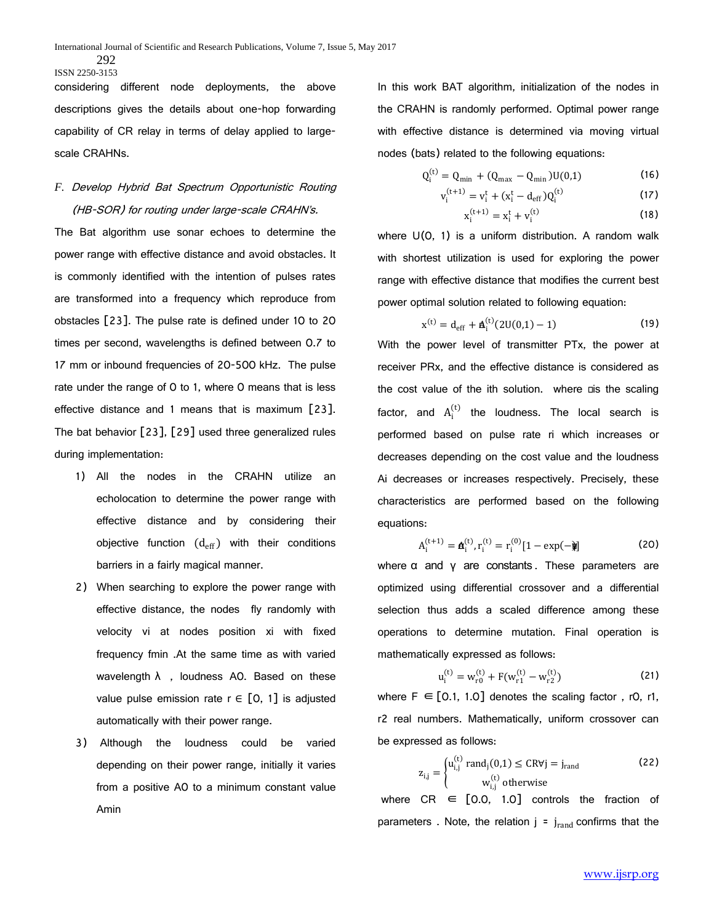considering different node deployments, the above descriptions gives the details about one-hop forwarding capability of CR relay in terms of delay applied to largescale CRAHNs.

# *F.* Develop Hybrid Bat Spectrum Opportunistic Routing (HB-SOR) for routing under large-scale CRAHN's.

The Bat algorithm use sonar echoes to determine the power range with effective distance and avoid obstacles. It is commonly identified with the intention of pulses rates are transformed into a frequency which reproduce from obstacles [23]. The pulse rate is defined under 10 to 20 times per second, wavelengths is defined between 0.7 to 17 mm or inbound frequencies of 20-500 kHz. The pulse rate under the range of 0 to 1, where 0 means that is less effective distance and 1 means that is maximum [23]. The bat behavior [23], [29] used three generalized rules during implementation:

- 1) All the nodes in the CRAHN utilize an echolocation to determine the power range with effective distance and by considering their objective function  $(d_{eff})$  with their conditions barriers in a fairly magical manner.
- 2) When searching to explore the power range with effective distance, the nodes fly randomly with velocity vi at nodes position xi with fixed frequency fmin .At the same time as with varied wavelength  $\lambda$ , loudness AO. Based on these value pulse emission rate  $r \in [0, 1]$  is adjusted automatically with their power range.
- 3) Although the loudness could be varied depending on their power range, initially it varies from a positive A0 to a minimum constant value Amin

In this work BAT algorithm, initialization of the nodes in the CRAHN is randomly performed. Optimal power range with effective distance is determined via moving virtual nodes (bats) related to the following equations:

$$
Q_i^{(t)} = Q_{\min} + (Q_{\max} - Q_{\min}) U(0,1)
$$
 (16)

$$
v_i^{(t+1)} = v_i^t + (x_i^t - d_{eff})Q_i^{(t)}
$$
 (17)

$$
x_i^{(t+1)} = x_i^t + v_i^{(t)}
$$
 (18)

where  $U(0, 1)$  is a uniform distribution. A random walk with shortest utilization is used for exploring the power range with effective distance that modifies the current best power optimal solution related to following equation:

$$
x^{(t)} = d_{eff} + \mathbf{A}_i^{(t)} (2U(0,1) - 1)
$$
 (19)

With the power level of transmitter PTx, the power at receiver PRx, and the effective distance is considered as the cost value of the ith solution. where ais the scaling factor, and  $A_i^{(t)}$  the loudness. The local search is performed based on pulse rate ri which increases or decreases depending on the cost value and the loudness Ai decreases or increases respectively. Precisely, these characteristics are performed based on the following equations:

$$
A_i^{(t+1)} = \mathbf{a}_i^{(t)}, r_i^{(t)} = r_i^{(0)} [1 - \exp(-\mathbf{\hat{y}})]
$$
 (20)

where  $\alpha$  and  $\gamma$  are constants. These parameters are optimized using differential crossover and a differential selection thus adds a scaled difference among these operations to determine mutation. Final operation is mathematically expressed as follows:

$$
u_i^{(t)} = w_{r0}^{(t)} + F(w_{r1}^{(t)} - w_{r2}^{(t)})
$$
 (21)

where  $F \in [0.1, 1.0]$  denotes the scaling factor, r0, r1, r2 real numbers. Mathematically, uniform crossover can be expressed as follows:

$$
z_{i,j} = \begin{cases} u_{i,j}^{(t)} \text{ rand}_j(0,1) \leq \text{CRV}j = j_{\text{rand}}\\ w_{i,j}^{(t)} \text{ otherwise} \end{cases}
$$
(22)

where  $CR \in [0.0, 1.0]$  controls the fraction of parameters . Note, the relation  $j = j_{rand}$  confirms that the

<sup>292</sup> ISSN 2250-3153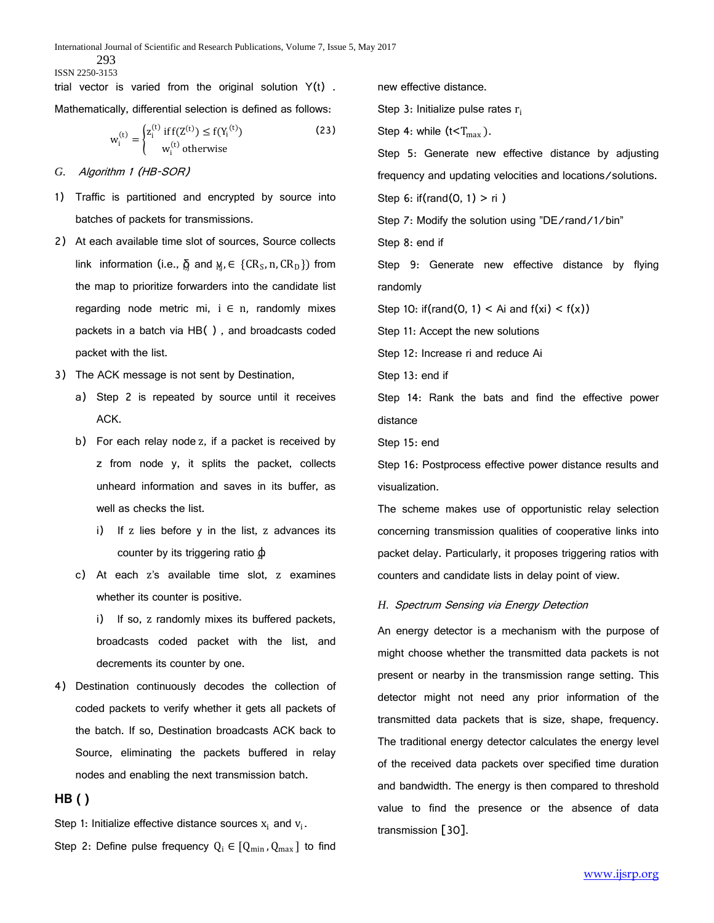293

ISSN 2250-3153

trial vector is varied from the original solution  $Y(t)$ . Mathematically, differential selection is defined as follows:

$$
w_i^{(t)} = \begin{cases} z_i^{(t)} \text{ if } f(Z^{(t)}) \le f(Y_i^{(t)}) \\ w_i^{(t)} \text{ otherwise} \end{cases}
$$
 (23)

- *G.* Algorithm 1 (HB-SOR)
- 1) Traffic is partitioned and encrypted by source into batches of packets for transmissions.
- 2) At each available time slot of sources, Source collects link information (i.e.,  $\overline{Q}$  and  $\gamma_j, \in \{CR_S, n, CR_D\})$  from the map to prioritize forwarders into the candidate list regarding node metric mi,  $i \in n$ , randomly mixes packets in a batch via HB( ) , and broadcasts coded packet with the list.
- 3) The ACK message is not sent by Destination,
	- a) Step 2 is repeated by source until it receives ACK.
	- b) For each relay node z, if a packet is received by z from node y, it splits the packet, collects unheard information and saves in its buffer, as well as checks the list.
		- i) If z lies before y in the list, z advances its counter by its triggering ratio  $\phi$
	- c) At each z's available time slot, z examines whether its counter is positive.

i) If so, z randomly mixes its buffered packets, broadcasts coded packet with the list, and decrements its counter by one.

4) Destination continuously decodes the collection of coded packets to verify whether it gets all packets of the batch. If so, Destination broadcasts ACK back to Source, eliminating the packets buffered in relay nodes and enabling the next transmission batch.

# **HB ( )**

Step 1: Initialize effective distance sources  $x_i$  and  $v_i$ .

Step 2: Define pulse frequency  $Q_i \in [Q_{min}, Q_{max}]$  to find

new effective distance.

Step 3: Initialize pulse rates  $r_i$ 

Step 4: while  $(t < T<sub>max</sub>)$ .

Step 5: Generate new effective distance by adjusting frequency and updating velocities and locations/solutions. Step 6: if(rand(0, 1) > ri )

Step 7: Modify the solution using "DE/rand/1/bin"

Step 8: end if

Step 9: Generate new effective distance by flying randomly

Step 10: if(rand(0, 1) < Ai and  $f(xi) < f(x)$ )

Step 11: Accept the new solutions

Step 12: Increase ri and reduce Ai

Step 13: end if

Step 14: Rank the bats and find the effective power distance

Step 15: end

Step 16: Postprocess effective power distance results and visualization.

The scheme makes use of opportunistic relay selection concerning transmission qualities of cooperative links into packet delay. Particularly, it proposes triggering ratios with counters and candidate lists in delay point of view.

#### *H.* Spectrum Sensing via Energy Detection

An energy detector is a mechanism with the purpose of might choose whether the transmitted data packets is not present or nearby in the transmission range setting. This detector might not need any prior information of the transmitted data packets that is size, shape, frequency. The traditional energy detector calculates the energy level of the received data packets over specified time duration and bandwidth. The energy is then compared to threshold value to find the presence or the absence of data transmission [30].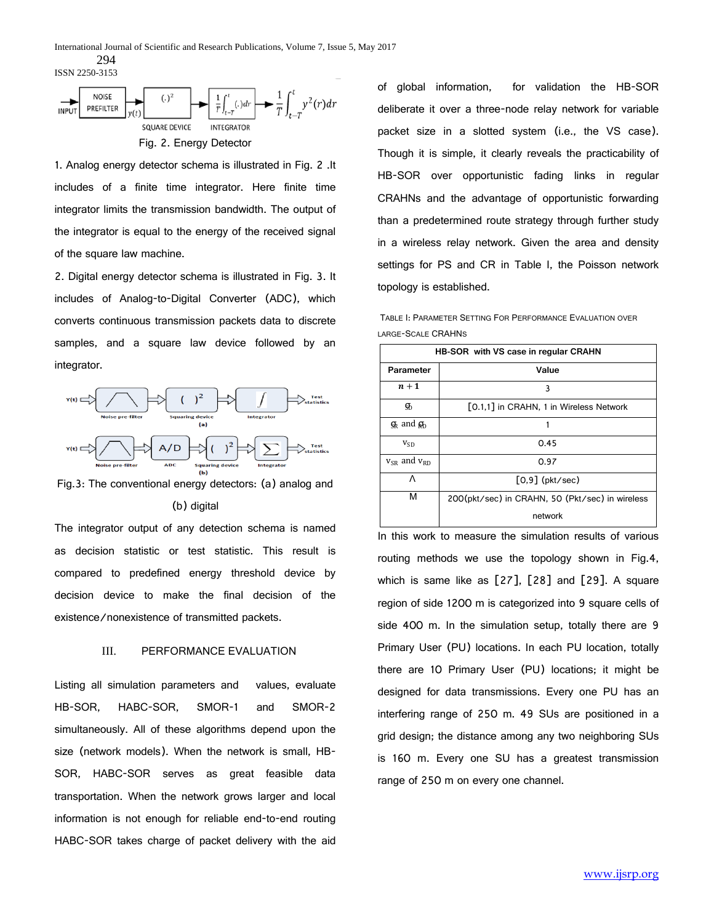294 ISSN 2250-3153



1. Analog energy detector schema is illustrated in Fig. 2 .It includes of a finite time integrator. Here finite time integrator limits the transmission bandwidth. The output of the integrator is equal to the energy of the received signal of the square law machine.

2. Digital energy detector schema is illustrated in Fig. 3. It includes of Analog-to-Digital Converter (ADC), which converts continuous transmission packets data to discrete samples, and a square law device followed by an integrator.



Fig.3: The conventional energy detectors: (a) analog and

#### (b) digital

The integrator output of any detection schema is named as decision statistic or test statistic. This result is compared to predefined energy threshold device by decision device to make the final decision of the existence/nonexistence of transmitted packets.

# III. PERFORMANCE EVALUATION

Listing all simulation parameters and values, evaluate HB-SOR, HABC-SOR, SMOR-1 and SMOR-2 simultaneously. All of these algorithms depend upon the size (network models). When the network is small, HB-SOR, HABC-SOR serves as great feasible data transportation. When the network grows larger and local information is not enough for reliable end-to-end routing HABC-SOR takes charge of packet delivery with the aid

of global information, for validation the HB-SOR deliberate it over a three-node relay network for variable packet size in a slotted system (i.e., the VS case). Though it is simple, it clearly reveals the practicability of HB-SOR over opportunistic fading links in regular CRAHNs and the advantage of opportunistic forwarding than a predetermined route strategy through further study in a wireless relay network. Given the area and density settings for PS and CR in Table I, the Poisson network topology is established.

TABLE I: PARAMETER SETTING FOR PERFORMANCE EVALUATION OVER LARGE-SCALE CRAHNS

| <b>HB-SOR</b> with VS case in regular CRAHN |                                                 |
|---------------------------------------------|-------------------------------------------------|
| Parameter                                   | Value                                           |
| $n+1$                                       | 3                                               |
| க                                           | [0.1,1] in CRAHN, 1 in Wireless Network         |
| $\mathfrak{g}_k$ and $\mathfrak{g}_b$       |                                                 |
| $v_{SD}$                                    | 0.45                                            |
| $v_{SR}$ and $v_{RD}$                       | 0.97                                            |
| Λ                                           | $[0.9]$ (pkt/sec)                               |
| м                                           | 200(pkt/sec) in CRAHN, 50 (Pkt/sec) in wireless |
|                                             | network                                         |

In this work to measure the simulation results of various routing methods we use the topology shown in Fig.4, which is same like as [27], [28] and [29]. A square region of side 1200 m is categorized into 9 square cells of side 400 m. In the simulation setup, totally there are 9 Primary User (PU) locations. In each PU location, totally there are 10 Primary User (PU) locations; it might be designed for data transmissions. Every one PU has an interfering range of 250 m. 49 SUs are positioned in a grid design; the distance among any two neighboring SUs is 160 m. Every one SU has a greatest transmission range of 250 m on every one channel.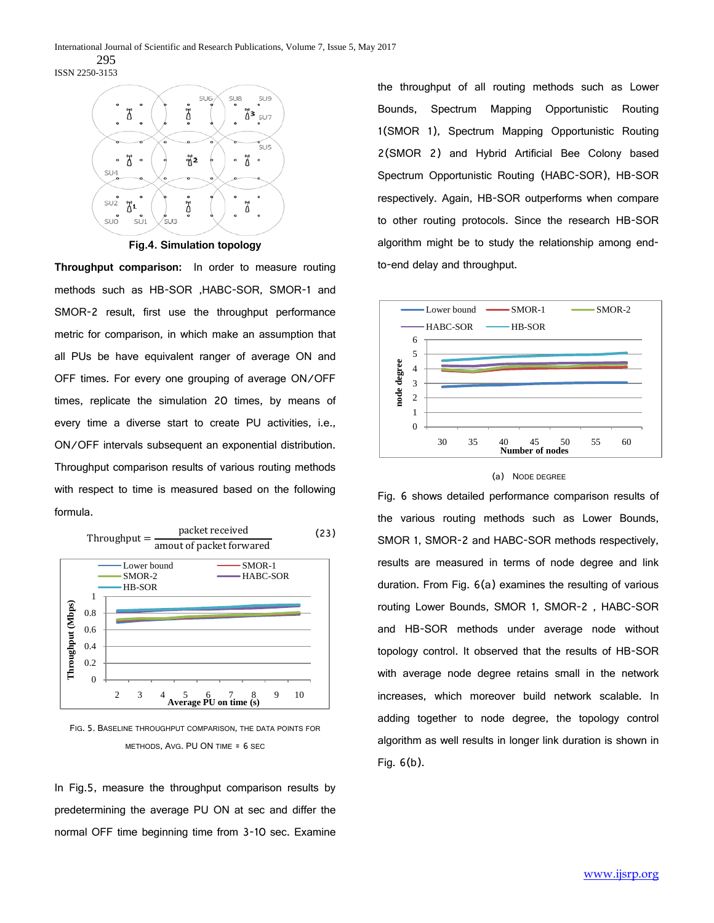

**Fig.4. Simulation topology**

**Throughput comparison:** In order to measure routing methods such as HB-SOR ,HABC-SOR, SMOR-1 and SMOR-2 result, first use the throughput performance metric for comparison, in which make an assumption that all PUs be have equivalent ranger of average ON and OFF times. For every one grouping of average ON/OFF times, replicate the simulation 20 times, by means of every time a diverse start to create PU activities, i.e., ON/OFF intervals subsequent an exponential distribution. Throughput comparison results of various routing methods with respect to time is measured based on the following formula.



FIG. 5. BASELINE THROUGHPUT COMPARISON, THE DATA POINTS FOR METHODS, AVG. PU ON TIME = 6 SEC

In Fig.5, measure the throughput comparison results by predetermining the average PU ON at sec and differ the normal OFF time beginning time from 3-10 sec. Examine

the throughput of all routing methods such as Lower Bounds, Spectrum Mapping Opportunistic Routing 1(SMOR 1), Spectrum Mapping Opportunistic Routing 2(SMOR 2) and Hybrid Artificial Bee Colony based Spectrum Opportunistic Routing (HABC-SOR), HB-SOR respectively. Again, HB-SOR outperforms when compare to other routing protocols. Since the research HB-SOR algorithm might be to study the relationship among endto-end delay and throughput.



#### (a) NODE DEGREE

Fig. 6 shows detailed performance comparison results of the various routing methods such as Lower Bounds, SMOR 1, SMOR-2 and HABC-SOR methods respectively, results are measured in terms of node degree and link duration. From Fig. 6(a) examines the resulting of various routing Lower Bounds, SMOR 1, SMOR-2 , HABC-SOR and HB-SOR methods under average node without topology control. It observed that the results of HB-SOR with average node degree retains small in the network increases, which moreover build network scalable. In adding together to node degree, the topology control algorithm as well results in longer link duration is shown in Fig. 6(b).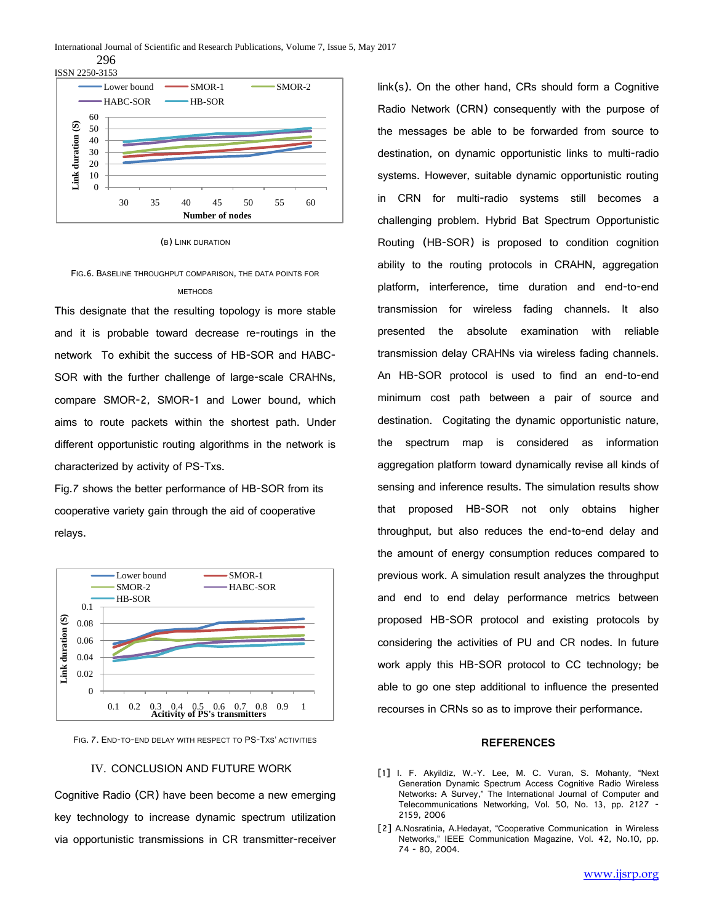296



(B) LINK DURATION

# FIG.6. BASELINE THROUGHPUT COMPARISON, THE DATA POINTS FOR METHODS

This designate that the resulting topology is more stable and it is probable toward decrease re-routings in the network To exhibit the success of HB-SOR and HABC-SOR with the further challenge of large-scale CRAHNs, compare SMOR-2, SMOR-1 and Lower bound, which aims to route packets within the shortest path. Under different opportunistic routing algorithms in the network is characterized by activity of PS-Txs.

Fig.7 shows the better performance of HB-SOR from its cooperative variety gain through the aid of cooperative relays.



FIG. 7. END-TO-END DELAY WITH RESPECT TO PS-TXS' ACTIVITIES

#### IV. CONCLUSION AND FUTURE WORK

Cognitive Radio (CR) have been become a new emerging key technology to increase dynamic spectrum utilization via opportunistic transmissions in CR transmitter-receiver

link(s). On the other hand, CRs should form a Cognitive Radio Network (CRN) consequently with the purpose of the messages be able to be forwarded from source to destination, on dynamic opportunistic links to multi-radio systems. However, suitable dynamic opportunistic routing in CRN for multi-radio systems still becomes a challenging problem. Hybrid Bat Spectrum Opportunistic Routing (HB-SOR) is proposed to condition cognition ability to the routing protocols in CRAHN, aggregation platform, interference, time duration and end-to-end transmission for wireless fading channels. It also presented the absolute examination with reliable transmission delay CRAHNs via wireless fading channels. An HB-SOR protocol is used to find an end-to-end minimum cost path between a pair of source and destination. Cogitating the dynamic opportunistic nature, the spectrum map is considered as information aggregation platform toward dynamically revise all kinds of sensing and inference results. The simulation results show that proposed HB-SOR not only obtains higher throughput, but also reduces the end-to-end delay and the amount of energy consumption reduces compared to previous work. A simulation result analyzes the throughput and end to end delay performance metrics between proposed HB-SOR protocol and existing protocols by considering the activities of PU and CR nodes. In future work apply this HB-SOR protocol to CC technology; be able to go one step additional to influence the presented recourses in CRNs so as to improve their performance.

# **REFERENCES**

- [1] I. F. Akyildiz, W.-Y. Lee, M. C. Vuran, S. Mohanty, "Next Generation Dynamic Spectrum Access Cognitive Radio Wireless Networks: A Survey," The International Journal of Computer and Telecommunications Networking, Vol. 50, No. 13, pp. 2127 - 2159, 2006
- [2] A.Nosratinia, A.Hedayat, "Cooperative Communication in Wireless Networks," IEEE Communication Magazine, Vol. 42, No.10, pp. 74 - 80, 2004.